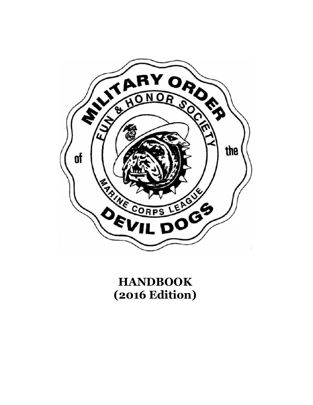

**HANDBOOK (2016 Edition)**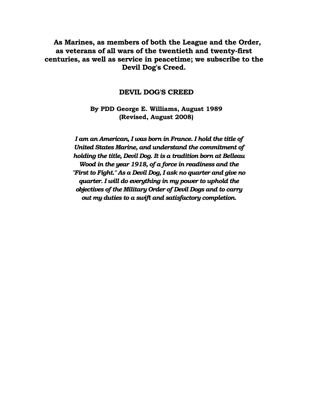**As Marines, as members of both the League and the Order, as veterans of all wars of the twentieth and twenty-first centuries, as well as service in peacetime; we subscribe to the Devil Dog's Creed.**

#### **DEVIL DOG'S CREED**

**By PDD George E. Williams, August 1989 (Revised, August 2008)**

*I am an American, I was born in France. I hold the title of United States Marine, and understand the commitment of holding the title, Devil Dog. It is a tradition born at Belleau Wood in the year 1918, of a force in readiness and the "First to Fight." As a Devil Dog, I ask no quarter and give no quarter. I will do everything in my power to uphold the objectives of the Military Order of Devil Dogs and to carry out my duties to a swift and satisfactory completion.*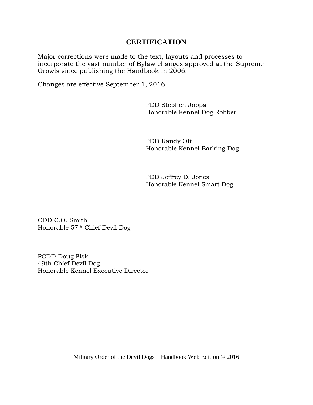## **CERTIFICATION**

Major corrections were made to the text, layouts and processes to incorporate the vast number of Bylaw changes approved at the Supreme Growls since publishing the Handbook in 2006.

Changes are effective September 1, 2016.

PDD Stephen Joppa Honorable Kennel Dog Robber

PDD Randy Ott Honorable Kennel Barking Dog

PDD Jeffrey D. Jones Honorable Kennel Smart Dog

CDD C.O. Smith Honorable 57th Chief Devil Dog

PCDD Doug Fisk 49th Chief Devil Dog Honorable Kennel Executive Director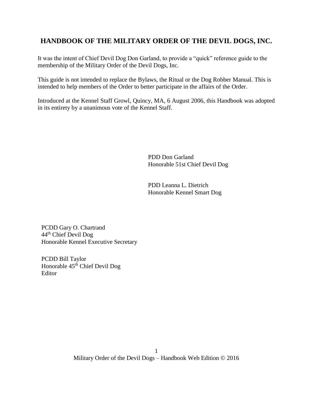# **HANDBOOK OF THE MILITARY ORDER OF THE DEVIL DOGS, INC.**

It was the intent of Chief Devil Dog Don Garland, to provide a "quick" reference guide to the membership of the Military Order of the Devil Dogs, Inc.

This guide is not intended to replace the Bylaws, the Ritual or the Dog Robber Manual. This is intended to help members of the Order to better participate in the affairs of the Order.

Introduced at the Kennel Staff Growl, Quincy, MA, 6 August 2006, this Handbook was adopted in its entirety by a unanimous vote of the Kennel Staff.

> PDD Don Garland Honorable 51st Chief Devil Dog

PDD Leanna L. Dietrich Honorable Kennel Smart Dog

PCDD Gary O. Chartrand 44th Chief Devil Dog Honorable Kennel Executive Secretary

PCDD Bill Taylor Honorable  $45<sup>th</sup>$  Chief Devil Dog Editor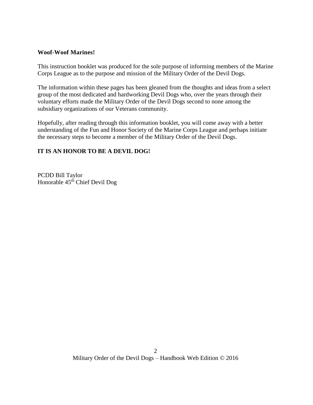#### **Woof-Woof Marines!**

This instruction booklet was produced for the sole purpose of informing members of the Marine Corps League as to the purpose and mission of the Military Order of the Devil Dogs.

The information within these pages has been gleaned from the thoughts and ideas from a select group of the most dedicated and hardworking Devil Dogs who, over the years through their voluntary efforts made the Military Order of the Devil Dogs second to none among the subsidiary organizations of our Veterans community.

Hopefully, after reading through this information booklet, you will come away with a better understanding of the Fun and Honor Society of the Marine Corps League and perhaps initiate the necessary steps to become a member of the Military Order of the Devil Dogs.

### **IT IS AN HONOR TO BE A DEVIL DOG!**

PCDD Bill Taylor Honorable 45th Chief Devil Dog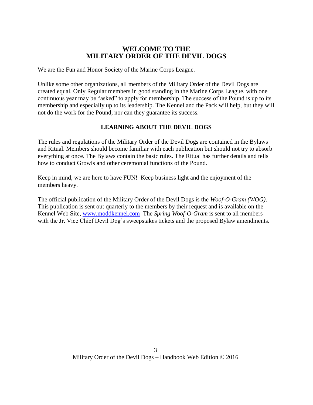## **WELCOME TO THE MILITARY ORDER OF THE DEVIL DOGS**

We are the Fun and Honor Society of the Marine Corps League.

Unlike some other organizations, all members of the Military Order of the Devil Dogs are created equal. Only Regular members in good standing in the Marine Corps League, with one continuous year may be "asked" to apply for membership. The success of the Pound is up to its membership and especially up to its leadership. The Kennel and the Pack will help, but they will not do the work for the Pound, nor can they guarantee its success.

### **LEARNING ABOUT THE DEVIL DOGS**

The rules and regulations of the Military Order of the Devil Dogs are contained in the Bylaws and Ritual. Members should become familiar with each publication but should not try to absorb everything at once. The Bylaws contain the basic rules. The Ritual has further details and tells how to conduct Growls and other ceremonial functions of the Pound.

Keep in mind, we are here to have FUN! Keep business light and the enjoyment of the members heavy.

The official publication of the Military Order of the Devil Dogs is the *Woof-O-Gram (WOG)*. This publication is sent out quarterly to the members by their request and is available on the Kennel Web Site, [www.moddkennel.com](http://www.moddkennel.com/) The *Spring Woof-O-Gram* is sent to all members with the Jr. Vice Chief Devil Dog's sweepstakes tickets and the proposed Bylaw amendments.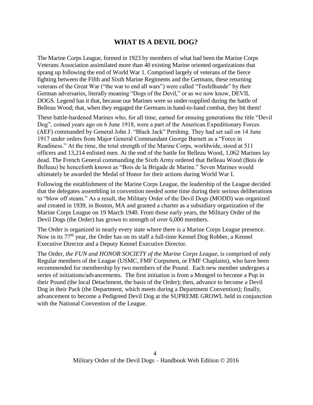# **WHAT IS A DEVIL DOG?**

The Marine Corps League, formed in 1923 by members of what had been the Marine Corps Veterans Association assimilated more than 40 existing Marine oriented organizations that sprang up following the end of World War 1. Comprised largely of veterans of the fierce fighting between the Fifth and Sixth Marine Regiments and the Germans, these returning veterans of the Great War ("the war to end all wars") were called "Teufelhunde" by their German adversaries, literally meaning "Dogs of the Devil," or as we now know, DEVIL DOGS. Legend has it that, because our Marines were so under-supplied during the battle of Belleau Wood; that, when they engaged the Germans in hand-to-hand combat, they bit them!

These battle-hardened Marines who, for all time, earned for ensuing generations the title "Devil Dog", coined years ago on 6 June 1918, were a part of the American Expeditionary Forces (AEF) commanded by General John J. "Black Jack" Pershing. They had set sail on 14 June 1917 under orders from Major General Commandant George Barnett as a "Force in Readiness." At the time, the total strength of the Marine Corps, worldwide, stood at 511 officers and 13,214 enlisted men. At the end of the battle for Belleau Wood, 1,062 Marines lay dead. The French General commanding the Sixth Army ordered that Belleau Wood (Bois de Belleau) be henceforth known as "Bois de la Brigade de Marine." Seven Marines would ultimately be awarded the Medal of Honor for their actions during World War I.

Following the establishment of the Marine Corps League, the leadership of the League decided that the delegates assembling in convention needed some time during their serious deliberations to "blow off steam." As a result, the Military Order of the Devil Dogs (MODD) was organized and created in 1939, in Boston, MA and granted a charter as a subsidiary organization of the Marine Corps League on 19 March 1940. From those early years, the Military Order of the Devil Dogs (the Order) has grown to strength of over 6,000 members.

The Order is organized in nearly every state where there is a Marine Corps League presence. Now in its 77<sup>th</sup> year, the Order has on its staff a full-time Kennel Dog Robber, a Kennel Executive Director and a Deputy Kennel Executive Director.

The Order, *the FUN and HONOR SOCIETY of the Marine Corps League*, is comprised of only Regular members of the League (USMC, FMF Corpsmen, or FMF Chaplains), who have been recommended for membership by two members of the Pound. Each new member undergoes a series of initiations/advancements. The first initiation is from a Mongrel to become a Pup in their Pound (the local Detachment, the basis of the Order); then, advance to become a Devil Dog in their Pack (the Department, which meets during a Department Convention); finally, advancement to become a Pedigreed Devil Dog at the SUPREME GROWL held in conjunction with the National Convention of the League.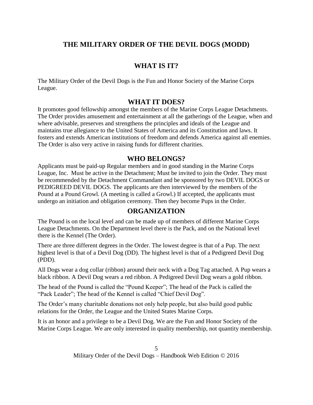# **THE MILITARY ORDER OF THE DEVIL DOGS (MODD)**

# **WHAT IS IT?**

The Military Order of the Devil Dogs is the Fun and Honor Society of the Marine Corps League.

## **WHAT IT DOES?**

It promotes good fellowship amongst the members of the Marine Corps League Detachments. The Order provides amusement and entertainment at all the gatherings of the League, when and where advisable, preserves and strengthens the principles and ideals of the League and maintains true allegiance to the United States of America and its Constitution and laws. It fosters and extends American institutions of freedom and defends America against all enemies. The Order is also very active in raising funds for different charities.

### **WHO BELONGS?**

Applicants must be paid-up Regular members and in good standing in the Marine Corps League, Inc. Must be active in the Detachment; Must be invited to join the Order. They must be recommended by the Detachment Commandant and be sponsored by two DEVIL DOGS or PEDIGREED DEVIL DOGS. The applicants are then interviewed by the members of the Pound at a Pound Growl. (A meeting is called a Growl.) If accepted, the applicants must undergo an initiation and obligation ceremony. Then they become Pups in the Order.

## **ORGANIZATION**

The Pound is on the local level and can be made up of members of different Marine Corps League Detachments. On the Department level there is the Pack, and on the National level there is the Kennel (The Order).

There are three different degrees in the Order. The lowest degree is that of a Pup. The next highest level is that of a Devil Dog (DD). The highest level is that of a Pedigreed Devil Dog (PDD).

All Dogs wear a dog collar (ribbon) around their neck with a Dog Tag attached. A Pup wears a black ribbon. A Devil Dog wears a red ribbon. A Pedigreed Devil Dog wears a gold ribbon.

The head of the Pound is called the "Pound Keeper"; The head of the Pack is called the "Pack Leader"; The head of the Kennel is called "Chief Devil Dog".

The Order's many charitable donations not only help people, but also build good public relations for the Order, the League and the United States Marine Corps.

It is an honor and a privilege to be a Devil Dog. We are the Fun and Honor Society of the Marine Corps League. We are only interested in quality membership, not quantity membership.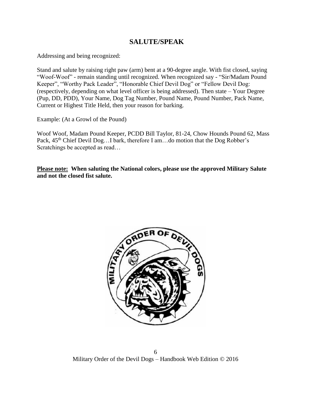# **SALUTE/SPEAK**

Addressing and being recognized:

Stand and salute by raising right paw (arm) bent at a 90-degree angle. With fist closed, saying "Woof-Woof" - remain standing until recognized. When recognized say - "Sir/Madam Pound Keeper", "Worthy Pack Leader", "Honorable Chief Devil Dog" or "Fellow Devil Dog: (respectively, depending on what level officer is being addressed). Then state – Your Degree (Pup, DD, PDD), Your Name, Dog Tag Number, Pound Name, Pound Number, Pack Name, Current or Highest Title Held, then your reason for barking.

Example: (At a Growl of the Pound)

Woof Woof, Madam Pound Keeper, PCDD Bill Taylor, 81-24, Chow Hounds Pound 62, Mass Pack, 45<sup>th</sup> Chief Devil Dog...I bark, therefore I am...do motion that the Dog Robber's Scratchings be accepted as read…

**Please note: When saluting the National colors, please use the approved Military Salute and not the closed fist salute.**

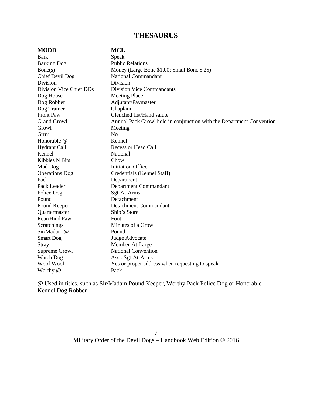# **THESAURUS**

| <b>MODD</b>             | <b>MCL</b>                                                           |
|-------------------------|----------------------------------------------------------------------|
| <b>Bark</b>             | Speak                                                                |
| <b>Barking Dog</b>      | <b>Public Relations</b>                                              |
| Bone(s)                 | Money (Large Bone \$1.00; Small Bone \$.25)                          |
| Chief Devil Dog         | <b>National Commandant</b>                                           |
| Division                | Division                                                             |
| Division Vice Chief DDs | <b>Division Vice Commandants</b>                                     |
| Dog House               | <b>Meeting Place</b>                                                 |
| Dog Robber              | Adjutant/Paymaster                                                   |
| Dog Trainer             | Chaplain                                                             |
| Front Paw               | Clenched fist/Hand salute                                            |
| <b>Grand Growl</b>      | Annual Pack Growl held in conjunction with the Department Convention |
| Growl                   | Meeting                                                              |
| Grrrr                   | N <sub>o</sub>                                                       |
| Honorable @             | Kennel                                                               |
| <b>Hydrant Call</b>     | Recess or Head Call                                                  |
| Kennel                  | National                                                             |
| <b>Kibbles N Bits</b>   | Chow                                                                 |
| Mad Dog                 | <b>Initiation Officer</b>                                            |
| <b>Operations</b> Dog   | Credentials (Kennel Staff)                                           |
| Pack                    | Department                                                           |
| Pack Leader             | Department Commandant                                                |
| Police Dog              | Sgt-At-Arms                                                          |
| Pound                   | Detachment                                                           |
| Pound Keeper            | <b>Detachment Commandant</b>                                         |
| Quartermaster           | Ship's Store                                                         |
| Rear/Hind Paw           | Foot                                                                 |
| Scratchings             | Minutes of a Growl                                                   |
| Sir/Madam @             | Pound                                                                |
| <b>Smart Dog</b>        | Judge Advocate                                                       |
| Stray                   | Member-At-Large                                                      |
| Supreme Growl           | <b>National Convention</b>                                           |
| <b>Watch Dog</b>        | Asst. Sgt-At-Arms                                                    |
| Woof Woof               | Yes or proper address when requesting to speak                       |
| Worthy @                | Pack                                                                 |

@ Used in titles, such as Sir/Madam Pound Keeper, Worthy Pack Police Dog or Honorable Kennel Dog Robber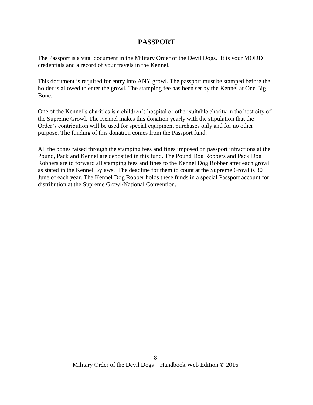## **PASSPORT**

The Passport is a vital document in the Military Order of the Devil Dogs. It is your MODD credentials and a record of your travels in the Kennel.

This document is required for entry into ANY growl. The passport must be stamped before the holder is allowed to enter the growl. The stamping fee has been set by the Kennel at One Big Bone.

One of the Kennel's charities is a children's hospital or other suitable charity in the host city of the Supreme Growl. The Kennel makes this donation yearly with the stipulation that the Order's contribution will be used for special equipment purchases only and for no other purpose. The funding of this donation comes from the Passport fund.

All the bones raised through the stamping fees and fines imposed on passport infractions at the Pound, Pack and Kennel are deposited in this fund. The Pound Dog Robbers and Pack Dog Robbers are to forward all stamping fees and fines to the Kennel Dog Robber after each growl as stated in the Kennel Bylaws. The deadline for them to count at the Supreme Growl is 30 June of each year. The Kennel Dog Robber holds these funds in a special Passport account for distribution at the Supreme Growl/National Convention.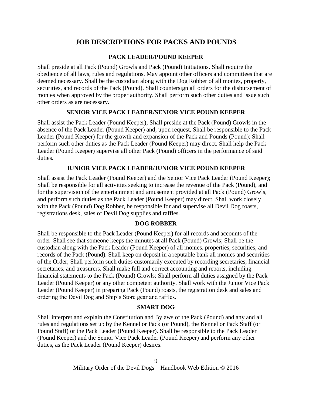# **JOB DESCRIPTIONS FOR PACKS AND POUNDS**

### **PACK LEADER/POUND KEEPER**

Shall preside at all Pack (Pound) Growls and Pack (Pound) Initiations. Shall require the obedience of all laws, rules and regulations. May appoint other officers and committees that are deemed necessary. Shall be the custodian along with the Dog Robber of all monies, property, securities, and records of the Pack (Pound). Shall countersign all orders for the disbursement of monies when approved by the proper authority. Shall perform such other duties and issue such other orders as are necessary.

### **SENIOR VICE PACK LEADER/SENIOR VICE POUND KEEPER**

Shall assist the Pack Leader (Pound Keeper); Shall preside at the Pack (Pound) Growls in the absence of the Pack Leader (Pound Keeper) and, upon request, Shall be responsible to the Pack Leader (Pound Keeper) for the growth and expansion of the Pack and Pounds (Pound); Shall perform such other duties as the Pack Leader (Pound Keeper) may direct. Shall help the Pack Leader (Pound Keeper) supervise all other Pack (Pound) officers in the performance of said duties.

### **JUNIOR VICE PACK LEADER/JUNIOR VICE POUND KEEPER**

Shall assist the Pack Leader (Pound Keeper) and the Senior Vice Pack Leader (Pound Keeper); Shall be responsible for all activities seeking to increase the revenue of the Pack (Pound), and for the supervision of the entertainment and amusement provided at all Pack (Pound) Growls, and perform such duties as the Pack Leader (Pound Keeper) may direct. Shall work closely with the Pack (Pound) Dog Robber, be responsible for and supervise all Devil Dog roasts, registrations desk, sales of Devil Dog supplies and raffles.

### **DOG ROBBER**

Shall be responsible to the Pack Leader (Pound Keeper) for all records and accounts of the order. Shall see that someone keeps the minutes at all Pack (Pound) Growls; Shall be the custodian along with the Pack Leader (Pound Keeper) of all monies, properties, securities, and records of the Pack (Pound). Shall keep on deposit in a reputable bank all monies and securities of the Order; Shall perform such duties customarily executed by recording secretaries, financial secretaries, and treasurers. Shall make full and correct accounting and reports, including financial statements to the Pack (Pound) Growls; Shall perform all duties assigned by the Pack Leader (Pound Keeper) or any other competent authority. Shall work with the Junior Vice Pack Leader (Pound Keeper) in preparing Pack (Pound) roasts, the registration desk and sales and ordering the Devil Dog and Ship's Store gear and raffles.

#### **SMART DOG**

Shall interpret and explain the Constitution and Bylaws of the Pack (Pound) and any and all rules and regulations set up by the Kennel or Pack (or Pound), the Kennel or Pack Staff (or Pound Staff) or the Pack Leader (Pound Keeper). Shall be responsible to the Pack Leader (Pound Keeper) and the Senior Vice Pack Leader (Pound Keeper) and perform any other duties, as the Pack Leader (Pound Keeper) desires.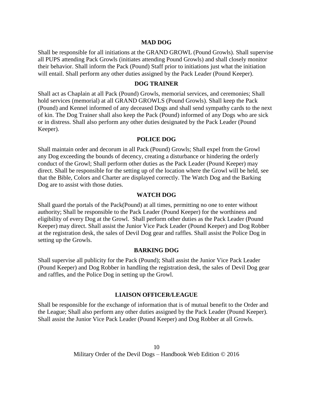#### **MAD DOG**

Shall be responsible for all initiations at the GRAND GROWL (Pound Growls). Shall supervise all PUPS attending Pack Growls (initiates attending Pound Growls) and shall closely monitor their behavior. Shall inform the Pack (Pound) Staff prior to initiations just what the initiation will entail. Shall perform any other duties assigned by the Pack Leader (Pound Keeper).

#### **DOG TRAINER**

Shall act as Chaplain at all Pack (Pound) Growls, memorial services, and ceremonies; Shall hold services (memorial) at all GRAND GROWLS (Pound Growls). Shall keep the Pack (Pound) and Kennel informed of any deceased Dogs and shall send sympathy cards to the next of kin. The Dog Trainer shall also keep the Pack (Pound) informed of any Dogs who are sick or in distress. Shall also perform any other duties designated by the Pack Leader (Pound Keeper).

#### **POLICE DOG**

Shall maintain order and decorum in all Pack (Pound) Growls; Shall expel from the Growl any Dog exceeding the bounds of decency, creating a disturbance or hindering the orderly conduct of the Growl; Shall perform other duties as the Pack Leader (Pound Keeper) may direct. Shall be responsible for the setting up of the location where the Growl will be held, see that the Bible, Colors and Charter are displayed correctly. The Watch Dog and the Barking Dog are to assist with those duties.

#### **WATCH DOG**

Shall guard the portals of the Pack(Pound) at all times, permitting no one to enter without authority; Shall be responsible to the Pack Leader (Pound Keeper) for the worthiness and eligibility of every Dog at the Growl. Shall perform other duties as the Pack Leader (Pound Keeper) may direct. Shall assist the Junior Vice Pack Leader (Pound Keeper) and Dog Robber at the registration desk, the sales of Devil Dog gear and raffles. Shall assist the Police Dog in setting up the Growls.

#### **BARKING DOG**

Shall supervise all publicity for the Pack (Pound); Shall assist the Junior Vice Pack Leader (Pound Keeper) and Dog Robber in handling the registration desk, the sales of Devil Dog gear and raffles, and the Police Dog in setting up the Growl.

#### **LIAISON OFFICER/LEAGUE**

Shall be responsible for the exchange of information that is of mutual benefit to the Order and the League; Shall also perform any other duties assigned by the Pack Leader (Pound Keeper). Shall assist the Junior Vice Pack Leader (Pound Keeper) and Dog Robber at all Growls.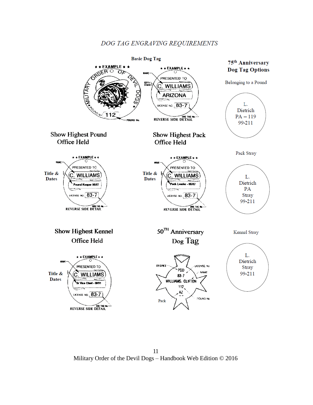## DOG TAG ENGRAVING REQUIREMENTS



11 Military Order of the Devil Dogs – Handbook Web Edition © 2016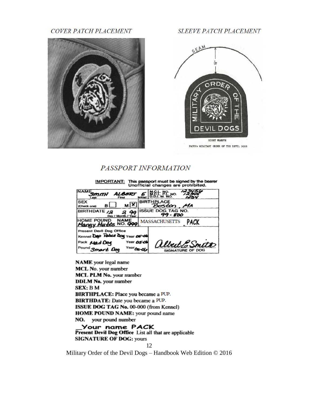COVER PATCH PLACEMENT



**SLEEVE PATCH PLACEMENT** 



PATCH: MILITARY GRDER OF THE DEVIL DOGS

## PASSPORT INFORMATION

IMPORTANT: This passport must be signed by the bearer<br>Unofficial changes are prohibited. **NAME SMITH**  $E$  M& NC **ALARDI SEX BIR** ACI мY  $\mathbf{B}$ stan , MA (Check on BIRTHDATE /2 OG TAG NO. 44 2 99 - 800 HOME POUND NAM<br>Mangy Mutts NO.4 **MASSACHUSETTS** PACK Present Devil Dog Office

Kennel Dep Poince Dag Pack Mad Dog Year 050 lbut to Pound Smart Da Year SIGNATURE OF DOG سمة

NAME your legal name MCL No. your number MCL PLM No. your number **DDLM No.** your number SEX: BM BIRTHPLACE: Place you became a PUP. BIRTHDATE: Date you became a PUP. ISSUE DOG TAG No. 00-000 (from Kennel) HOME POUND NAME: your pound name your pound number NO.

Your name PACK Present Devil Dog Office List all that are applicable **SIGNATURE OF DOG: yours** 

Military Order of the Devil Dogs – Handbook Web Edition © 2016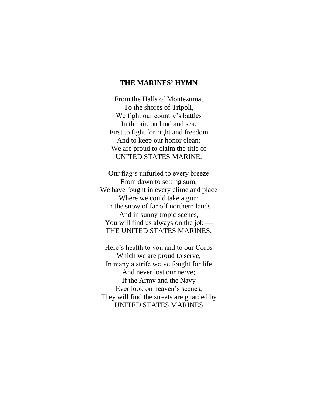## **THE MARINES' HYMN**

From the Halls of Montezuma, To the shores of Tripoli, We fight our country's battles In the air, on land and sea. First to fight for right and freedom And to keep our honor clean; We are proud to claim the title of UNITED STATES MARINE.

Our flag's unfurled to every breeze From dawn to setting sum; We have fought in every clime and place Where we could take a gun; In the snow of far off northern lands And in sunny tropic scenes, You will find us always on the job — THE UNITED STATES MARINES.

Here's health to you and to our Corps Which we are proud to serve; In many a strife we've fought for life And never lost our nerve; If the Army and the Navy Ever look on heaven's scenes, They will find the streets are guarded by UNITED STATES MARINES